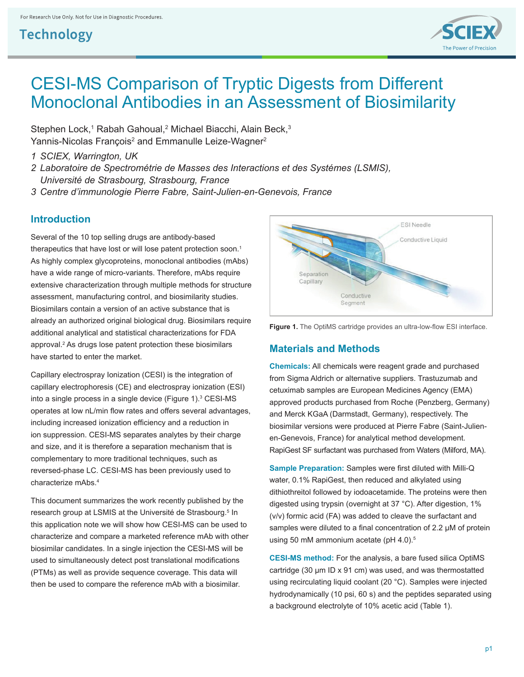

# CESI-MS Comparison of Tryptic Digests from Different Monoclonal Antibodies in an Assessment of Biosimilarity

Stephen Lock,<sup>1</sup> Rabah Gahoual,<sup>2</sup> Michael Biacchi, Alain Beck,<sup>3</sup> Yannis-Nicolas François<sup>2</sup> and Emmanulle Leize-Wagner<sup>2</sup>

- *1 SCIEX, Warrington, UK*
- *2 Laboratoire de Spectrométrie de Masses des Interactions et des Systémes (LSMIS), Université de Strasbourg, Strasbourg, France*
- *3 Centre d'immunologie Pierre Fabre, Saint-Julien-en-Genevois, France*

#### **Introduction**

Several of the 10 top selling drugs are antibody-based therapeutics that have lost or will lose patent protection soon.<sup>1</sup> As highly complex glycoproteins, monoclonal antibodies (mAbs) have a wide range of micro-variants. Therefore, mAbs require extensive characterization through multiple methods for structure assessment, manufacturing control, and biosimilarity studies. Biosimilars contain a version of an active substance that is already an authorized original biological drug. Biosimilars require additional analytical and statistical characterizations for FDA approval.2 As drugs lose patent protection these biosimilars have started to enter the market.

Capillary electrospray Ionization (CESI) is the integration of capillary electrophoresis (CE) and electrospray ionization (ESI) into a single process in a single device (Figure 1).<sup>3</sup> CESI-MS operates at low nL/min flow rates and offers several advantages, including increased ionization efficiency and a reduction in ion suppression. CESI-MS separates analytes by their charge and size, and it is therefore a separation mechanism that is complementary to more traditional techniques, such as reversed-phase LC. CESI-MS has been previously used to characterize mAbs.4

This document summarizes the work recently published by the research group at LSMIS at the Université de Strasbourg.<sup>5</sup> In this application note we will show how CESI-MS can be used to characterize and compare a marketed reference mAb with other biosimilar candidates. In a single injection the CESI-MS will be used to simultaneously detect post translational modifications (PTMs) as well as provide sequence coverage. This data will then be used to compare the reference mAb with a biosimilar.





#### **Materials and Methods**

**Chemicals:** All chemicals were reagent grade and purchased from Sigma Aldrich or alternative suppliers. Trastuzumab and cetuximab samples are European Medicines Agency (EMA) approved products purchased from Roche (Penzberg, Germany) and Merck KGaA (Darmstadt, Germany), respectively. The biosimilar versions were produced at Pierre Fabre (Saint-Julienen-Genevois, France) for analytical method development. RapiGest SF surfactant was purchased from Waters (Milford, MA).

**Sample Preparation:** Samples were first diluted with Milli-Q water, 0.1% RapiGest, then reduced and alkylated using dithiothreitol followed by iodoacetamide. The proteins were then digested using trypsin (overnight at 37 °C). After digestion, 1% (v/v) formic acid (FA) was added to cleave the surfactant and samples were diluted to a final concentration of 2.2  $\mu$ M of protein using 50 mM ammonium acetate (pH 4.0).<sup>5</sup>

**CESI-MS method:** For the analysis, a bare fused silica OptiMS cartridge (30 μm ID x 91 cm) was used, and was thermostatted using recirculating liquid coolant (20 °C). Samples were injected hydrodynamically (10 psi, 60 s) and the peptides separated using a background electrolyte of 10% acetic acid (Table 1).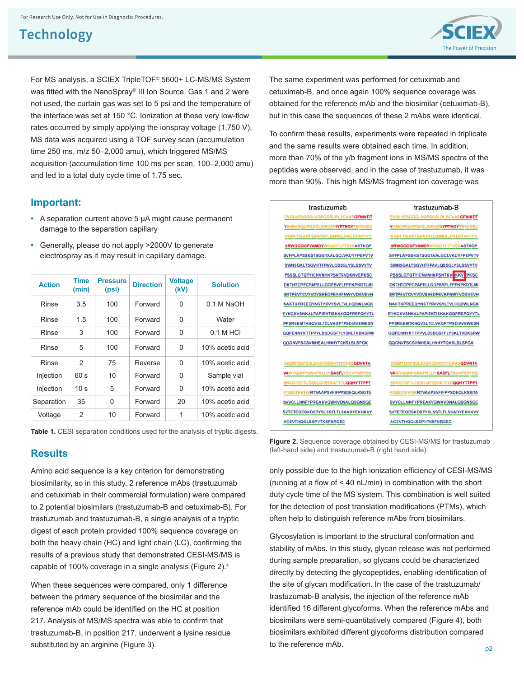

For MS analysis, a SCIEX TripleTOF® 5600+ LC-MS/MS System was fitted with the NanoSpray® III Ion Source. Gas 1 and 2 were not used, the curtain gas was set to 5 psi and the temperature of the interface was set at 150 °C. Ionization at these very low-flow rates occurred by simply applying the ionspray voltage (1,750 V). MS data was acquired using a TOF survey scan (accumulation time 250 ms, m/z 50–2,000 amu), which triggered MS/MS acquisition (accumulation time 100 ms per scan, 100–2,000 amu) and led to a total duty cycle time of 1.75 sec.

#### **Important:**

- **•** A separation current above 5 μA might cause permanent damage to the separation capillary
- **•** Generally, please do not apply >2000V to generate electrospray as it may result in capillary damage.

| <b>Action</b> | Time<br>(min)   | <b>Pressure</b><br>(psi) | <b>Direction</b> | <b>Voltage</b><br>(kV) | <b>Solution</b> |
|---------------|-----------------|--------------------------|------------------|------------------------|-----------------|
| Rinse         | 3.5             | 100                      | Forward          | 0                      | 0.1 M NaOH      |
| Rinse         | 1.5             | 100                      | Forward          | 0                      | Water           |
| Rinse         | 3               | 100                      | Forward          | 0                      | $0.1 M$ HCI     |
| Rinse         | 5               | 100                      | Forward          | 0                      | 10% acetic acid |
| Rinse         | 2               | 75                       | Reverse          | 0                      | 10% acetic acid |
| Injection     | 60 s            | 10                       | Forward          | 0                      | Sample vial     |
| Injection     | 10 <sub>s</sub> | 5                        | Forward          | 0                      | 10% acetic acid |
| Separation    | 35              | 0                        | Forward          | 20                     | 10% acetic acid |
| Voltage       | 2               | 10                       | Forward          | 1                      | 10% acetic acid |

Table 1. CESI separation conditions used for the analysis of tryptic digests.

#### **Results**

Amino acid sequence is a key criterion for demonstrating biosimilarity, so in this study, 2 reference mAbs (trastuzumab and cetuximab in their commercial formulation) were compared to 2 potential biosimilars (trastuzumab-B and cetuximab-B). For trastuzumab and trastuzumab-B, a single analysis of a tryptic digest of each protein provided 100% sequence coverage on both the heavy chain (HC) and light chain (LC), confirming the results of a previous study that demonstrated CESI-MS/MS is capable of 100% coverage in a single analysis (Figure 2).4

When these sequences were compared, only 1 difference between the primary sequence of the biosimilar and the reference mAb could be identified on the HC at position 217. Analysis of MS/MS spectra was able to confirm that trastuzumab-B, in position 217, underwent a lysine residue substituted by an arginine (Figure 3).

The same experiment was performed for cetuximab and cetuximab-B, and once again 100% sequence coverage was obtained for the reference mAb and the biosimilar (cetuximab-B), but in this case the sequences of these 2 mAbs were identical.

To confirm these results, experiments were repeated in triplicate and the same results were obtained each time. In addition, more than 70% of the y/b fragment ions in MS/MS spectra of the peptides were observed, and in the case of trastuzumab, it was more than 90%. This high MS/MS fragment ion coverage was

| trastuzumab                               | trastuzumab-B                            |  |  |  |
|-------------------------------------------|------------------------------------------|--|--|--|
| EVQLVESGGGLVQPGGSLRLSCAASGFNIKDT          | EVQLVESGGGLVQPGGSLRLSCAASGFNIKDT         |  |  |  |
| YIHWVRQAPGKGLEWVAR <b>IYPTNGY</b> TRYADSV | YIHWVRQAPGKGLEWVARIYPTNGYTRYADSV         |  |  |  |
| <b>KGRFTISADTSKNTAYLQMNSLRAEDTAVYYC</b>   | <b>KGRFTISADTSKNTAYLQMNSLRAEDTAVYYC</b>  |  |  |  |
| <b>SRWGGDGFYAMDY</b> WGQGTLVTVSSASTKGP    | <b>SRWGGDGFYAMDY</b> WGQGTLVTVSSASTKGP   |  |  |  |
| SVFPLAPSSKSTSGGTAALGCLVKDYFPEPVTV         | <b>SVFPLAPSSKSTSGGTAALGCLVKDYFPEPVTV</b> |  |  |  |
| SWNSGALTSGVHTFPAVLOSSGLYSLSSVVTV          | <b>SWNSGALTSGVHTFFAVLQSSGLYSLSSVVTV</b>  |  |  |  |
| PSSSLGTQTYICNVNHKPSNTKVDKKVEPKSC          | <b>PSSSLGTQTYICNVNHKPSNTKVOKKV</b> PKSC  |  |  |  |
| DKTHTCPPCPAPELLGGPSVFLFPPKPKDTLMI         | DKTHTCPPCPAPELLGGPSVFLFPPKPKDTLMI        |  |  |  |
| SRTPEVTCVVVDVSHEDPEVKFNWYVDGVEVH          | SRTPEVTCVVVDVSHEDPEVKFNWYVDGVEVH         |  |  |  |
| NAKTKPREEQYNSTYRVVSVLTVLHQDWLNGK          | NAKTKPREEQYNSTYRVVSVLTVLHQDWLNGK         |  |  |  |
| EYKCKVSNKALPAPIEKTISKAKGQPREPQVYTL        | EYKCKVSNKALPAPIEKTISKAKGQPREPQVYTL       |  |  |  |
| PPSREEMTKNQVSLTCLVKGFYPSDIAVEWESN         | PPSREEMTKNQVSLTCLVKGFYPSDIAVEWESN        |  |  |  |
| GQPENNYKTTPPVLDSDGSFFLYSKLTVDKSRW         | GOPENNYKTTPPVLDSDGSFFLYSKLTVDKSRW        |  |  |  |
| QQGNVFSCSVMHEALHNHYTCKSLSLSPGK            | QQGNVFSCSVMHEALHNHYTQKSLSLSPGK           |  |  |  |
| DIQMTQSPSSLSASVGDRVTITCRASQDVNTA          | DIQMTQSPSSLSASVGDRVTITCRASQDVNTA         |  |  |  |
| <b>VAWYQQKPGKAPKLLIYSASFLYSGVPSRFSG</b>   | <b>VAWYQQKPGKAPKLLIYSASFLYSGVPSRFSG</b>  |  |  |  |
| SRSGTDFTLTISSLQPEDFATYYCQQHYTTPPT         | SRSGTDFTLTISSLQPEDFATYYCQQHYTTPPT        |  |  |  |
| <b>FGQGTKVEIKRTVAAPSVFIFPPSDEQLKSGTA</b>  | <b>FGQGTKVEIKRTVAAPSVFIFPPSDEQLKSGTA</b> |  |  |  |
| SVVCLLNNFYPREAKVQWKVDNALQSGNSQE           | SVVCLLNNFYPREAKVQWKVDNALQSGNSQE          |  |  |  |
| SVTETEQDSKDSTYSLSSTLTLSKADYEKHKVY         | SVTETEQDSKDSTYSLSSTLTLSKADYEKHKVY        |  |  |  |
| ACEVTHOGLSSPVTKSFNRGEC                    | <b>ACEVTHOGLSSPVTKSFNRGEC</b>            |  |  |  |

**Figure 2.** Sequence coverage obtained by CESI-MS/MS for trastuzumab (left-hand side) and trastuzumab-B (right hand side).

only possible due to the high ionization efficiency of CESI-MS/MS (running at a flow of < 40 nL/min) in combination with the short duty cycle time of the MS system. This combination is well suited for the detection of post translation modifications (PTMs), which often help to distinguish reference mAbs from biosimilars.

Glycosylation is important to the structural conformation and stability of mAbs. In this study, glycan release was not performed during sample preparation, so glycans could be characterized directly by detecting the glycopeptides, enabling identification of the site of glycan modification. In the case of the trastuzumab/ trastuzumab-B analysis, the injection of the reference mAb identified 16 different glycoforms. When the reference mAbs and biosimilars were semi-quantitatively compared (Figure 4), both biosimilars exhibited different glycoforms distribution compared to the reference mAb.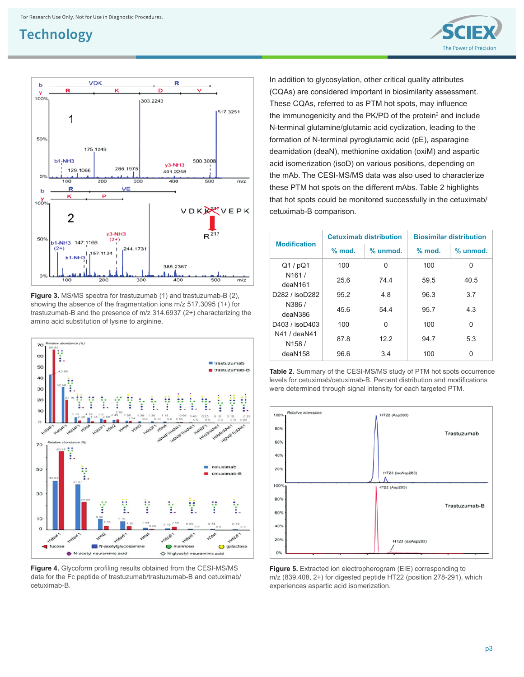



**Figure 3.** MS/MS spectra for trastuzumab (1) and trastuzumab-B (2), showing the absence of the fragmentation ions m/z 517.3095 (1+) for trastuzumab-B and the presence of m/z 314.6937 (2+) characterizing the amino acid substitution of lysine to arginine.



**Figure 4.** Glycoform profiling results obtained from the CESI-MS/MS data for the Fc peptide of trastuzumab/trastuzumab-B and cetuximab/ cetuximab-B.

In addition to glycosylation, other critical quality attributes (CQAs) are considered important in biosimilarity assessment. These CQAs, referred to as PTM hot spots, may influence the immunogenicity and the PK/PD of the protein<sup>2</sup> and include N-terminal glutamine/glutamic acid cyclization, leading to the formation of N-terminal pyroglutamic acid (pE), asparagine deamidation (deaN), methionine oxidation (oxiM) and aspartic acid isomerization (isoD) on various positions, depending on the mAb. The CESI-MS/MS data was also used to characterize these PTM hot spots on the different mAbs. Table 2 highlights that hot spots could be monitored successfully in the cetuximab/ cetuximab-B comparison.

| <b>Modification</b>                       |          | <b>Cetuximab distribution</b> | <b>Biosimilar distribution</b> |          |
|-------------------------------------------|----------|-------------------------------|--------------------------------|----------|
|                                           | $%$ mod. | % unmod.                      | $%$ mod.                       | % unmod. |
| Q1/pQ1                                    | 100      | 0                             | 100                            | 0        |
| N <sub>161</sub> /<br>deaN <sub>161</sub> | 25.6     | 744                           | 59.5                           | 40.5     |
| D282 / isoD282                            | 95.2     | 48                            | 96.3                           | 3.7      |
| N386/<br>deaN386                          | 45.6     | 544                           | 95.7                           | 4.3      |
| D403 / isoD403                            | 100      | 0                             | 100                            | 0        |
| N41 / deaN41<br>N <sub>158</sub> /        | 87.8     | 122                           | 94.7                           | 5.3      |
| deaN158                                   | 96.6     | 3.4                           | 100                            | 0        |





**Figure 5.** Extracted ion electropherogram (EIE) corresponding to m/z (839.408, 2+) for digested peptide HT22 (position 278-291), which experiences aspartic acid isomerization.